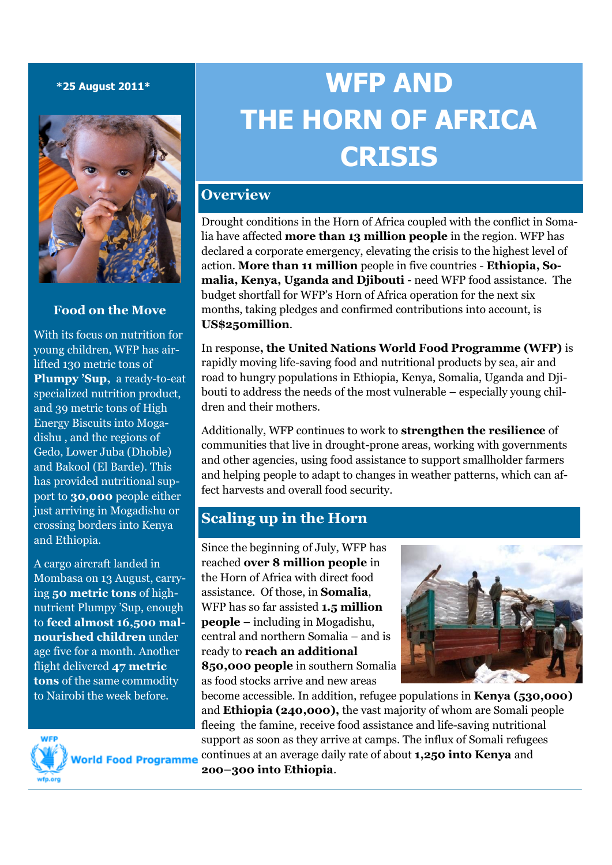#### **\*25 August 2011\***



### **Food on the Move**

With its focus on nutrition for young children, WFP has airlifted 130 metric tons of **Plumpy 'Sup,** a ready-to-eat specialized nutrition product, and 39 metric tons of High Energy Biscuits into Mogadishu , and the regions of Gedo, Lower Juba (Dhoble) and Bakool (El Barde). This has provided nutritional support to **30,000** people either just arriving in Mogadishu or crossing borders into Kenya and Ethiopia.

A cargo aircraft landed in Mombasa on 13 August, carrying **50 metric tons** of highnutrient Plumpy 'Sup, enough to **feed almost 16,500 malnourished children** under age five for a month. Another flight delivered **47 metric tons** of the same commodity to Nairobi the week before.



**World Food Programme** 

# **WFP AND THE HORN OF AFRICA CRISIS**

# **Overview**

Drought conditions in the Horn of Africa coupled with the conflict in Somalia have affected **more than 13 million people** in the region. WFP has declared a corporate emergency, elevating the crisis to the highest level of action. **More than 11 million** people in five countries - **Ethiopia, Somalia, Kenya, Uganda and Djibouti** - need WFP food assistance. The budget shortfall for WFP's Horn of Africa operation for the next six months, taking pledges and confirmed contributions into account, is **US\$250million**.

In response**, the United Nations World Food Programme (WFP)** is rapidly moving life-saving food and nutritional products by sea, air and road to hungry populations in Ethiopia, Kenya, Somalia, Uganda and Djibouti to address the needs of the most vulnerable – especially young children and their mothers.

Additionally, WFP continues to work to **strengthen the resilience** of communities that live in drought-prone areas, working with governments and other agencies, using food assistance to support smallholder farmers and helping people to adapt to changes in weather patterns, which can affect harvests and overall food security.

# **Scaling up in the Horn**

Since the beginning of July, WFP has reached **over 8 million people** in the Horn of Africa with direct food assistance. Of those, in **Somalia**, WFP has so far assisted **1.5 million people** – including in Mogadishu, central and northern Somalia – and is ready to **reach an additional 850,000 people** in southern Somalia as food stocks arrive and new areas



become accessible. In addition, refugee populations in **Kenya (530,000)** and **Ethiopia (240,000),** the vast majority of whom are Somali people fleeing the famine, receive food assistance and life-saving nutritional support as soon as they arrive at camps. The influx of Somali refugees continues at an average daily rate of about **1,250 into Kenya** and **2o0–300 into Ethiopia**.